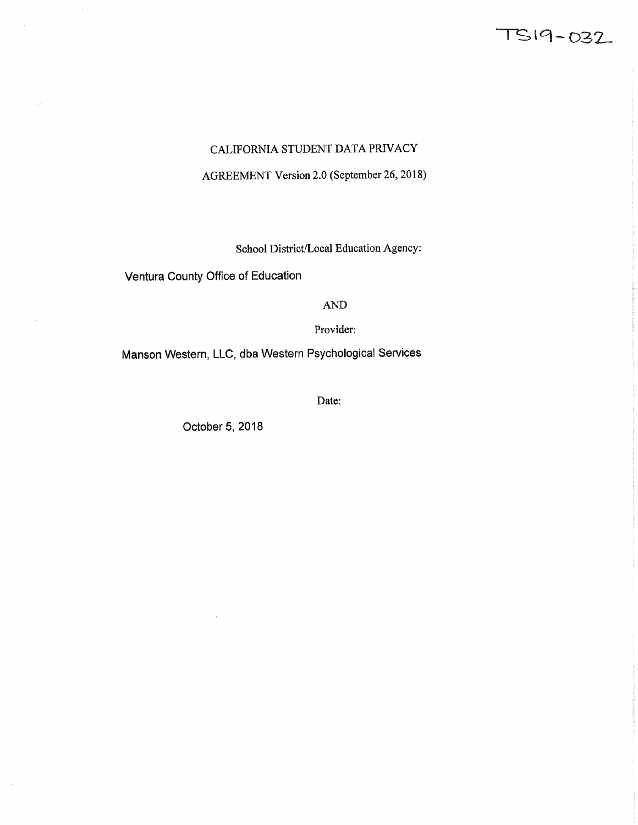# TS19-032

# CALIFORNIA STUDENT DATA PRIVACY

### AGREEMENT Version 2.0 (September 26, 2018)

School District/Local Education Agency:

Ventura County Office of Education

 $\bar{\beta}$ 

AND

Provider

Manson Western, LLC, dba Western Psychological Services

Date:

October 5, 2018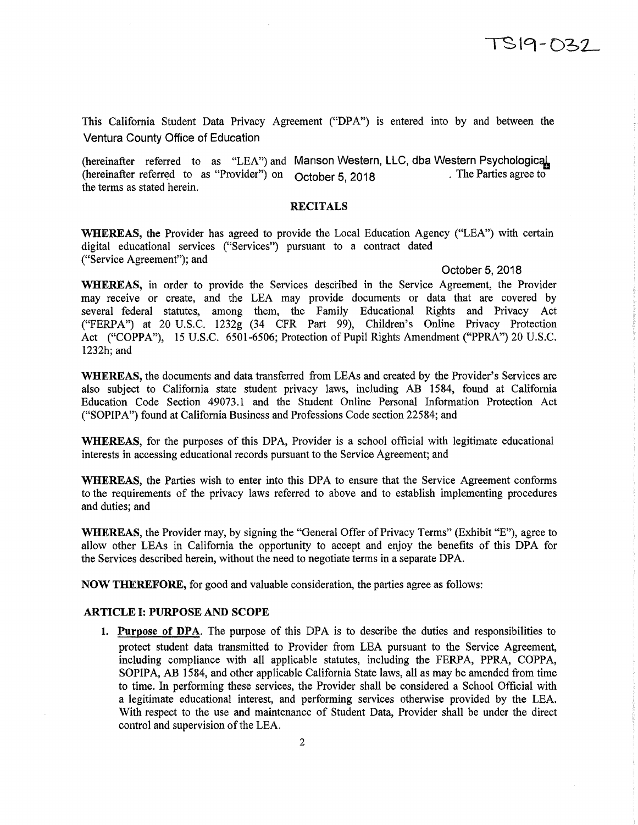This California Student Data Privacy Agreement ("DPA") is entered into by and between the Ventura County Office of Education

(hereinafter referred to as "LEA") and Manson Western, LLC, dba Western Psychological<br>(hereinafter referred to as "Provider") on October 5, 2018 (hereinafter referred to as "Provider") on October 5, 2018 the terms as stated herein.

#### RECITALS

WHEREAS, the Provider has agreed to provide the Local Education Agency ("LEA") with certain digital educational services ("Services") pursuant to a contract dated ("Service Agreement"); and

#### October 5, 2018

WHEREAS, in order to provide the Services described in the Service Agreement, the Provider may receive or create, and the LEA may provide documents or data that are covered by several federal statutes, among them, the Family Educational Rights and Privacy Act ("FERPA") at 20 U.S.C. 1232g (34 CFR Part 99), Children's Online Privacy Protection Act ("COPPA"), 15 U.S.C. *6501-6506;* Protection of Pupil Rights Amendment ("PPRA") 20 U.S.C. 1232h; and

WHEREAS, the documents and data transferred from LEAs and created by the Provider's Services are also subject to California state student privacy laws, including AB 1584, found at California Education Code Section 49073.1 and the Student Online Personal Information Protection Act ("SOPIPA") found at California Business and Professions Code section 22584; and

WHEREAS, for the purposes of this DPA, Provider is a school official with legitimate educational interests in accessing educational records pursuant to the Service Agreement; and

WHEREAS, the Parties wish to enter into this DPA to ensure that the Service Agreement conforms to the requirements of the privacy laws referred to above and to establish implementing procedures and duties; and

WhEREAS, the Provider may, by signing the "General Offer of Privacy Terms" (Exhibit "B"), agree to allow other LEAs in California the opportunity to accept and enjoy the benefits of this DPA for the Services described herein, without the need to negotiate terms in a separate DPA.

**NOW THEREFORE,** for good and valuable consideration, the parties agree as follows:

#### **ARTICLE I: PURPOSE AND SCOPE**

1. Purpose **of DPA.** The purpose of this DPA is to describe the duties and responsibilities to protect student data transmitted to Provider from LEA pursuant to the Service Agreement, including compliance with all applicable statutes, including the FERPA, PPRA, COPPA, SOPIPA, AB *1584,* and other applicable California State laws, all as may be amended from time to time. In performing these services, the Provider shall be considered a School Official with a legitimate educational interest, and performing services otherwise provided by the LEA. With respect to the use and maintenance of Student Data, Provider shall be under the direct control and supervision of the LEA.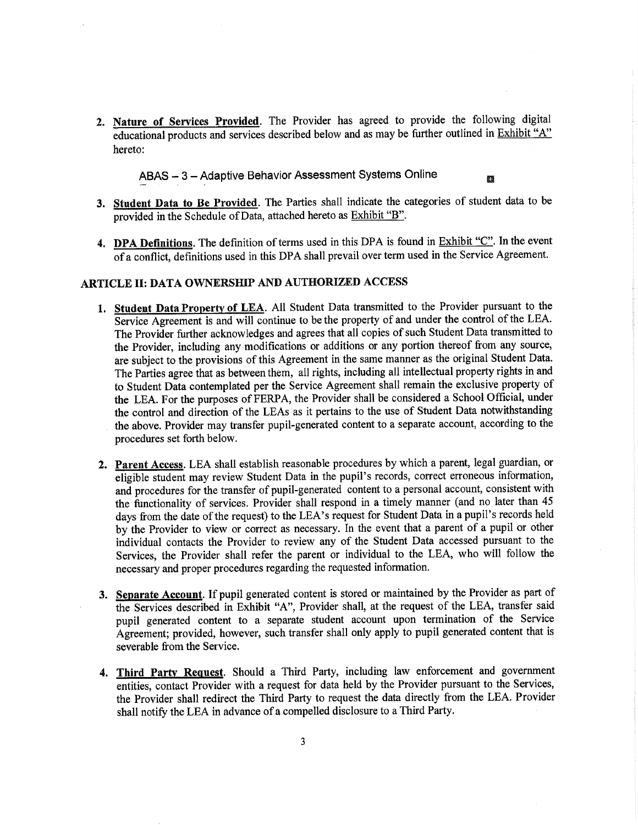2. Nature of Services Provided. The Provider has agreed to provide the following digital educational products and services described below and as may be further outlined in Exhibit "A" hereto:

ABAS - 3 - Adaptive Behavior Assessment Systems Online

G.

- 3. Student Data to Be Provided. The Parties shall indicate the categories of student data to be provided in the Schedule of Data, attached hereto as Exhibit "B".
- 4. DPA Definitions. The definition of terms used in this DPA is found in Exhibit "C". In the event Of a conflict, definitions used in this DPA shall prevail over term used in the Service Agreement.

#### ARTICLE II: DATA OWNERSHIP AND AUTHORIZED ACCESS

- 1. Student Data Property of LEA. All Student Data transmitted to the Provider pursuant to the Service Agreement is and will continue to be the property of and under the control of the LEA. The Provider further acknowledges and agrees that all copies of such Student Data transmitted to the Provider, including any modifications or additions or any portion thereof from any source, are subject to the provisions of this Agreement in the same manner as the original Student Data. The Parties agree that as between them, all rights, including all intellectual property rights in and to Student Data contemplated per the Service Agreement shall remain the exclusive property of the LEA. For the purposes of FERPA, the Provider shall be considered a School Official, under the control and direction of the LEAs as it pertains to the use of Student Data notwithstanding the above. Provider may transfer pupil-generated content to a separate account, according to the procedures set forth below.
- 2. Parent Access. LEA shall establish reasonable procedures by which a parent, legal guardian, or eligible student may review Student Data in the pupil's records, correct erroneous information, and procedures for the transfer of pupil-generated content to a personal account, consistent with the functionality of services. Provider shall respond in a timely manner (and no later than <sup>45</sup> days from the date of the request) to the LEA's request for Student Data in a pupil's records held by the Provider to view or correct as necessary. In the event that a parent of a pupil or other individual contacts the Provider to review any of the Student Data accessed pursuant to the Services, the Provider shall refer the parent or individual to the LEA, who will follow the necessary and proper procedures regarding the requested information.
- 3. Separate Account. If pupil generated content is stored or maintained by the Provider as part of the Services described in Exhibit "A", Provider shall, at the request of the LEA, transfer said pupil generated content to a separate student account upon termination of the Service Agreement; provided, however, such transfer shall only apply to pupil generated content that is severable from the Service.
- 4. Third Party Request. Should a Third Party, including law enforcement and government entities, contact Provider with a request for data held by the Provider pursuant to the Services, the Provider shall redirect the Third Party to request the data directly from the LEA. Provider shall notify the LEA in advance of a compelled disclosure to a Third Party.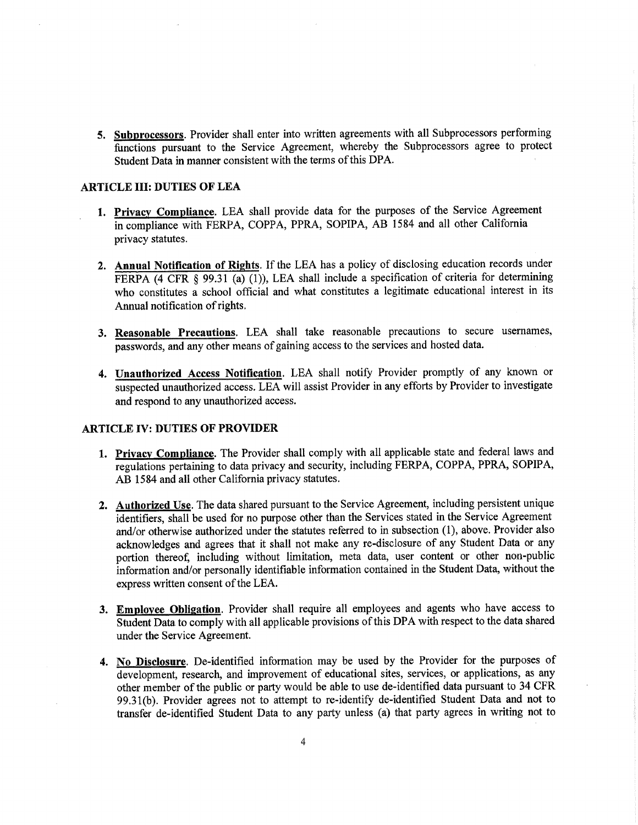5. Subprocessors. Provider shall enter into written agreements with all Subprocessors performing functions pursuant to the Service Agreement, whereby the Subprocessors agree to protect Student Data in manner consistent with the terms of this DPA.

#### ARTICLE **III:** DUTIES OF LEA

- 1. Privacy Compliance. LEA shall provide data for the purposes of the Service Agreement in compliance with FERPA, COPPA, PPRA, SOPIPA, AB *1584* and all other California privacy statutes.
- 2. Annual Notification of Rights. If the LEA has a policy of disclosing education records under FERPA (4 CFR § 99.31 (a) (1)), LEA shall include a specification of criteria for determining who constitutes a school official and what constitutes a legitimate educational interest in its Annual notification of rights.
- **3. Reasonable Precautions. LEA shall take reasonable precautions to** secure usernames, passwords, and any other means of gaining access to the services and hosted data.
- 4. Unauthorized Access Notification. LEA shall notify Provider promptly of any known or suspected unauthorized access. LEA will assist Provider in any efforts by Provider to investigate and respond to any unauthorized access.

#### **ARTICLE IV: DUTIES OF PROVIDER**

- **1. Privacy Compliance.** The Provider shall comply with all applicable state and federal laws and regulations pertaining to data privacy **and** security, including FERPA, COPPA, PPRA, SOPIPA, AB *1584* and **all** other California privacy statutes.
- **2. Authorized** Use. The data shared pursuant to the Service Agreement, including persistent unique identifiers, shall be used for no purpose other than the Services stated in the Service Agreement and/or otherwise authorized under the statutes referred to in subsection (1), above. Provider also acknowledges and agrees that it shall not make any re-disclosure of any Student Data or any portion thereof, including without limitation, meta data, user content or other non-public information and/or personally identifiable information contained in the Student Data, without the express written consent of the LEA.
- 3. Employee Obligation. Provider shall require all employees and agents who have access to Student Data to comply with all applicable provisions of this DPA with respect to the data shared under the Service Agreement.
- 4. No Disclosure. De-identified information may be used by the Provider for the purposes of development, research, and improvement of educational sites, services, or applications, as any other member of the public or party would be able to use dc-identified data pursuant to 34 CFR 99.31(b). Provider agrees not to attempt to re-identify de-identified Student Data and not to transfer de-identified Student Data to any party unless (a) that party agrees in writing not to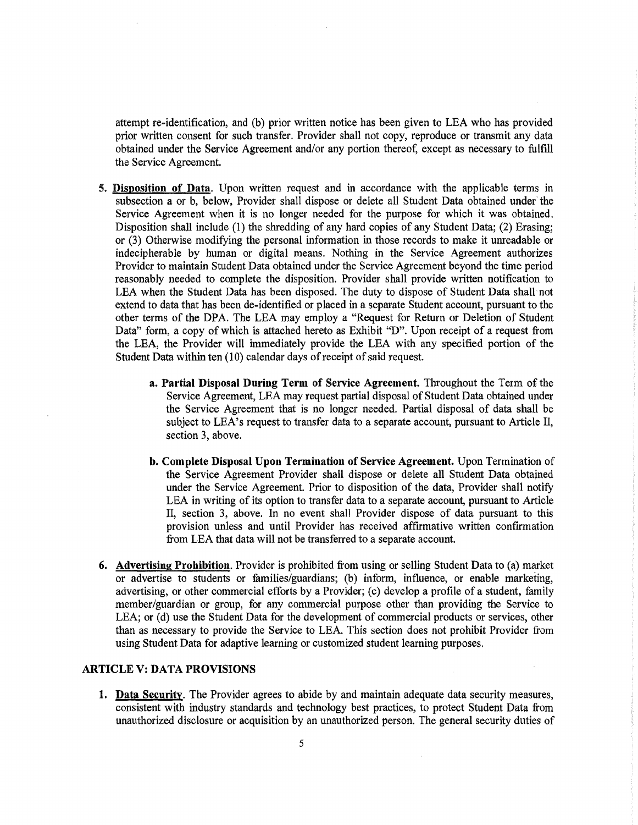attempt re-identification, and (b) prior written notice has been given to LEA who has provided prior written consent for such transfer. Provider shall not copy, reproduce or transmit any data obtained under the Service Agreement and/or any portion thereof; except as necessary to fulfill the Service Agreement.

- 5. Disposition of **Data.** Upon written request and in accordance with the applicable terms in subsection a or b, below, Provider shall dispose or delete all Student Data obtained under the Service Agreement when it is no longer needed for the purpose for which it was obtained. Disposition shall include (1) the shredding of any hard copies of any Student Data; (2) Erasing; or (3) Otherwise modifying the personal information in those records to make it unreadable or indecipherable by human or digital means. Nothing in the Service Agreement authorizes Provider to maintain Student Data obtained under the Service Agreement beyond the time period reasonably needed to complete the disposition. Provider shall provide written notification to LEA when the Student Data has been disposed. The duty to dispose of Student Data shall not extend to data that has been de-identified or placed in a separate Student account, pursuant to the other terms of the DPA. The LEA may employ a "Request for Return or Deletion of Student Data" form, a copy of which is attached hereto as Exhibit "D". Upon receipt of a request from the LEA, the Provider will immediately provide the LEA with any specified portion of the Student Data within ten (10) calendar days of receipt of said request.
	- a. Partial Disposal During Term of Service Agreement. Throughout the Term of the Service Agreement, LEA may request partial disposal of Student Data obtained under the Service Agreement that is no longer needed. Partial disposal of data shall be subject to LEA's request to transfer data to a separate account, pursuant to Article II, section 3, above.
	- b. Complete Disposal Upon Termination of Service Agreement. Upon Termination of the Service Agreement Provider shall dispose or delete all Student Data obtained under the Service Agreement. Prior to disposition of the data, Provider shall notify LEA in writing of its option to transfer data to a separate account, pursuant to Article II, section 3, above. In no event shall Provider dispose of data pursuant to this provision unless and until Provider has received affirmative written confirmation from LEA that data will not be transferred to a separate account.
- 6. Advertising Prohibition. Provider is prohibited from using or selling Student Data to (a) market or advertise to students or families/guardians; (b) inform, influence, or enable marketing, advertising, or other commercial efforts by a Provider; (c) develop a profile of a student, family member/guardian or group, for any commercial purpose other than providing the Service to LEA; or (d) use the Student Data for the development of commercial products or services, other than as necessary to provide the Service to LEA. This section does not prohibit Provider from using Student Data for adaptive learning or customized student learning purposes.

#### ARTICLE V: DATA PROVISIONS

1. Data Security. The Provider agrees to abide by and maintain adequate data security measures, consistent with industry standards and technology best practices, to protect Student Data from unauthorized disclosure or acquisition by an unauthorized person. The general security duties of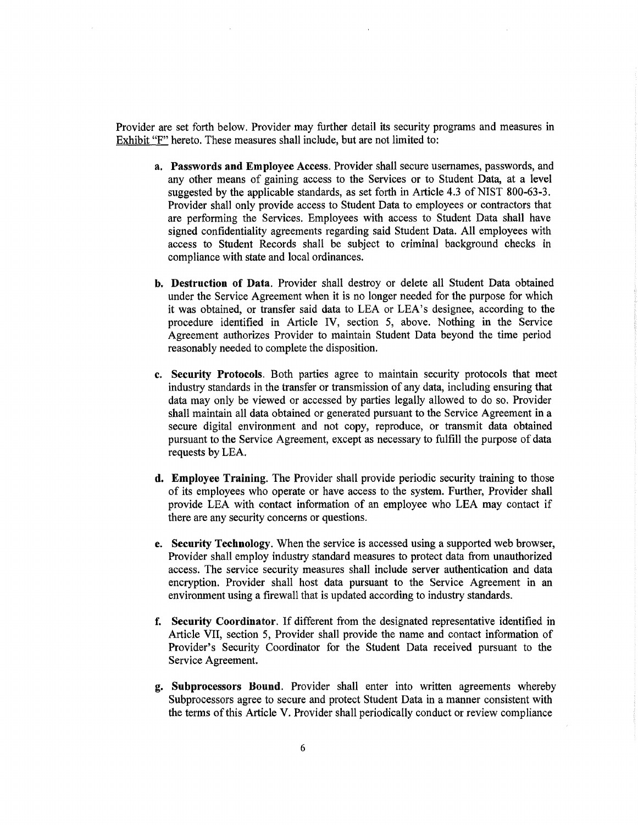Provider are set forth below. Provider may further detail its security programs and measures in Exhibit "F" hereto. These measures shall include, but are not limited to:

- a. Passwords and Employee Access. Provider shall secure usemames, passwords, and any other means of gaining access to the Services or to Student Data, at a level suggested by the applicable standards, as set forth in Article 4.3 of NIST 800-63-3. Provider shall only provide access to Student Data to employees or contractors that are performing the Services. Employees with access to Student Data shall have signed confidentiality agreements regarding said Student Data. All employees with access to Student Records shall be subject to criminal background checks in compliance with state and local ordinances.
- b. Destruction of Data. Provider shall destroy or delete all Student Data obtained under the Service Agreement when it is no longer needed for the purpose for which it was obtained, or transfer said data to LEA or LEA's designee, according to the procedure identified in Article IV, section 5, above. Nothing in the Service Agreement authorizes Provider to maintain Student Data beyond the time period reasonably needed to complete the disposition.
- c. Security Protocols. Both parties agree to maintain security protocols that meet industry standards in the transfer or transmission of any data, including ensuring that data may only be viewed or accessed by parties legally allowed to do so. Provider shall maintain all data obtained or generated pursuant to the Service Agreement in a secure digital environment and not copy, reproduce, or transmit data obtained pursuant to the Service Agreement, except as necessary to fulfill the purpose of data requests by LEA.
- d. Employee Training, The Provider shall provide periodic security training to those of its employees who operate or have access to the system. Further, Provider shall provide LEA with contact information of an employee who LEA may contact if there are any security concerns or questions.
- e. Security Technology. When the service is accessed using a supported web browser, Provider shall employ industry standard measures to protect data from unauthorized access. The service security measures shall include server authentication and data encryption. Provider shall host data pursuant to the Service Agreement in an environment using a firewall that is updated according to industry standards.
- f. Security Coordinator. If different from the designated representative identified in Article VII, section 5, Provider shall provide the name and contact information of Provider's Security Coordinator for the Student Data received pursuant to the Service Agreement.
- g. Subprocessors Bound. Provider shall enter into written agreements whereby Subprocessors agree to secure and protect Student Data in a manner consistent with the terms of this Article V. Provider shall periodically conduct or review compliance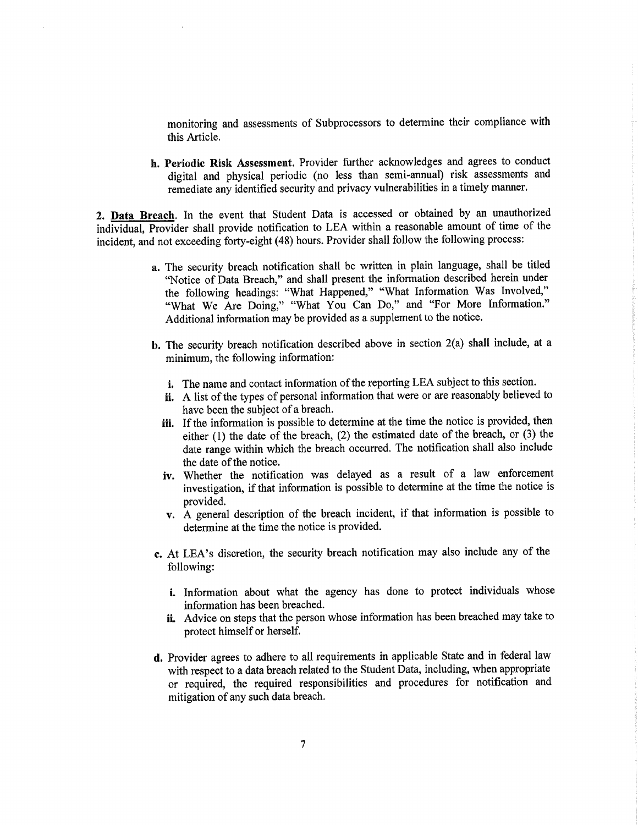monitoring and assessments of Subprocessors to determine their compliance with this Article.

h. Periodic Risk Assessment. Provider further acknowledges and agrees to conduct digital and physical periodic (no less than semi-annual) risk assessments and remediate any identified security and privacy vulnerabilities in a timely manner.

2. Data Breach. In the event that Student Data is accessed or obtained by an unauthorized individual, Provider shall provide notification to LEA within a reasonable amount of time of the incident, and not exceeding forty-eight (48) hours. Provider shall follow the following process:

- a. The security breach notification shall be written in plain language, shall be titled "Notice of Data Breach," and shall present the information described herein under the following headings: "What Happened," "What Information Was Involved," "What We Are Doing," "What You Can Do," and "For More Information." Additional information may be provided as a supplement to the notice.
- b. The security breach notification described above in section  $2(a)$  shall include, at a minimum, the following information:
	- i. The name and contact information of the reporting LEA subject to this section.
	- ii. A list of the types of personal information that were or are reasonably believed to have been the subject of a breach.
	- iii. If the information is possible to determine at the time the notice is provided, then either (1) the date of the breach, (2) the estimated date of the breach, or (3) the date range within which the breach occurred. The notification shall also include the date of the notice.
	- iv. Whether the notification was delayed as a result of a law enforcement investigation, if that information is possible to determine at the time the notice is provided.
	- v. A general description of the breach incident, if that information is possible to determine at the time the notice is provided.
- c. At LEA's discretion, the security breach notification may also include any of the following:
	- i. Information about what the agency has done to protect individuals whose information has been breached.
	- ii. Advice on steps that the person whose information has been breached may take to protect himself or herself.
- d. Provider agrees to adhere to all requirements in applicable State and in federal law with respect to a data breach related to the Student Data, including, when appropriate or required, the required responsibilities and procedures for notification and mitigation of any such data breach.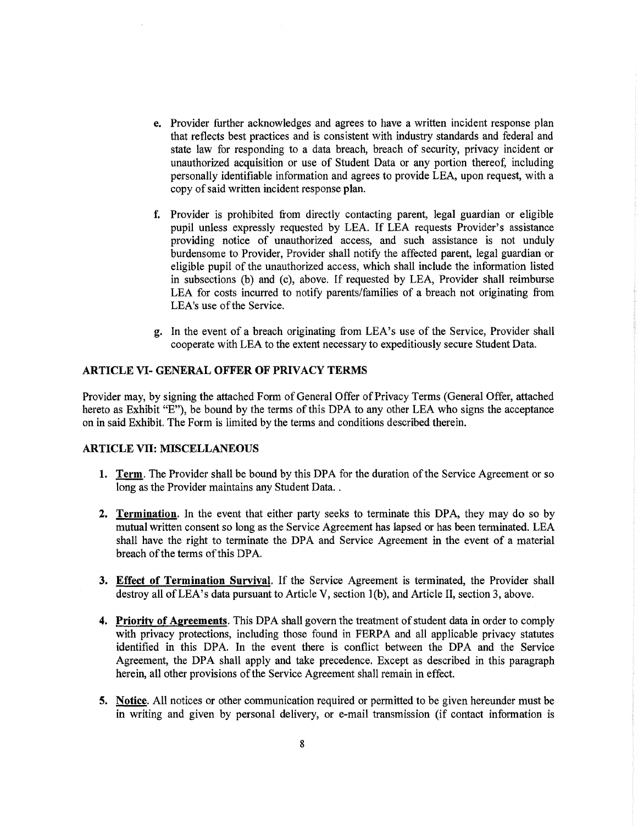- e. Provider further acknowledges and agrees to have a written incident response plan that reflects best practices and is consistent with industry standards and federal and state law for responding to a data breach, breach of security, privacy incident or unauthorized acquisition or use of Student Data or any portion thereof, including personally identifiable information and agrees to provide LEA, upon request, with a copy of said written incident response plan.
- 1. Provider is prohibited from directly contacting parent, legal guardian or eligible pupil unless expressly requested by LEA. If LEA requests Provider's assistance providing notice of unauthorized access, and such assistance is not unduly burdensome to Provider, Provider shall notify the affected parent, legal guardian or eligible pupil of the unauthorized access, which shall include the information listed in subsections (b) and (c), above. If requested by LEA, Provider shall reimburse LEA for costs incurred to notify parents/families of a breach not originating from LEA's use of the Service.
- g. In the event of a breach originating from LEA's use of the Service, Provider shall cooperate with LEA to the extent necessary to expeditiously secure Student Data.

#### ARTICLE VI- GENERAL OFFER OF PRIVACY TERMS

Provider may, by signing the attached Form of General Offer of Privacy Terms (General Offer, attached hereto as Exhibit "E"), be bound by the terms of this DPA to any other LEA who signs the acceptance on in said Exhibit. The Form is limited by the terms and conditions described therein.

#### ARTICLE VII: MISCELLANEOUS

- 1. Term. The Provider shall be bound by this DPA for the duration of the Service Agreement or so long as the Provider maintains any Student Data...
- 2. Termination. In the event that either party seeks to terminate this DPA, they may do so by mutual written consent so long as the Service Agreement has lapsed or has been tenninated. LEA shall have the right to terminate the DPA and Service Agreement in the event of a material breach of the terms of this DPA.
- 3. Effect of Termination Survival. If the Service Agreement is terminated, the Provider shall destroy all of LEA's data pursuant to Article V, section 1(b), and Article II, section 3, above.
- 4. Priority of Agreements. This DPA shall govern the treatment of student data in order to comply with privacy protections, including those found in FERPA and all applicable privacy statutes identified in this DPA. In the event there is conflict between the DPA and the Service Agreement, the DPA shall apply and take precedence. Except as described in this paragraph herein, all other provisions of the Service Agreement shall remain in effect.
- 5. Notice. All notices or other communication required or permitted to be given hereunder must be in writing and given by personal delivery, or e-mail transmission (if contact information is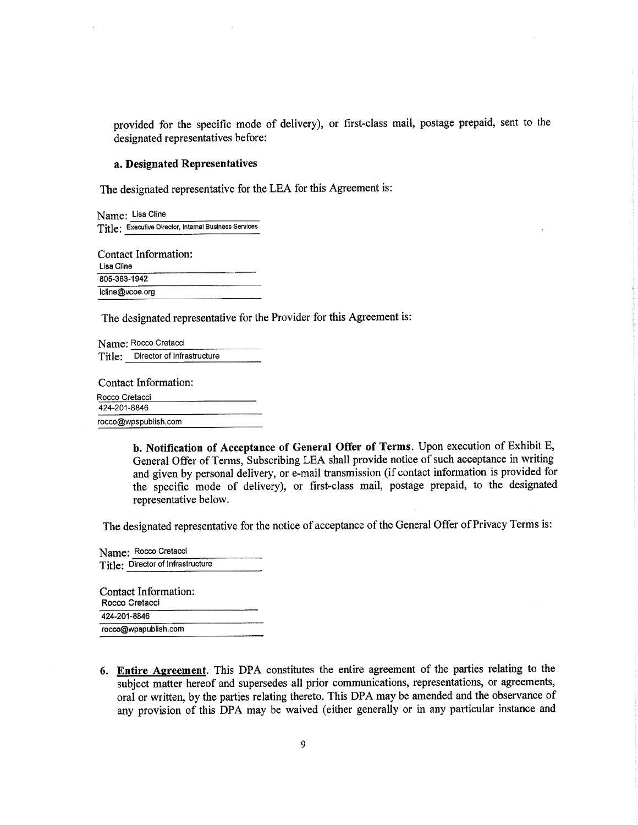provided for the specific mode of delivery), or first-class mail, postage prepaid, sent to the designated representatives before:

#### **a. Designated Representatives**

The designated representative for the LEA for this Agreement is:

|              | Name: Lisa Cline                                      |
|--------------|-------------------------------------------------------|
|              | Title: Executive Director, Internal Business Services |
| Lisa Cline   | Contact Information:                                  |
| 805-383-1942 |                                                       |
|              | lcline@vcoe.org                                       |

The designated representative for the Provider for this Agreement is:

Name: Rocco Cretacci Title: Director of Infrastructure

Contact Information:

| Rocco Cretacci       |  |
|----------------------|--|
| 424-201-8846         |  |
| rocco@wpspublish.com |  |

**b. Notification of Acceptance of General Offer of Terms.** Upon execution of Exhibit E, General Offer of Terms, Subscribing LEA shall provide notice of such acceptance in writing and given by personal delivery, or e-mail transmission (if contact information is provided for the specific mode of delivery), or first-class mail, postage prepaid, to the designated representative below.

The designated representative for the notice of acceptance of the General Offer of Privacy Terms is:

Name: Rocco Cretacci Title: Director of Infrastructure

| Contact Information:<br>Rocco Cretacci |  |
|----------------------------------------|--|
| 424-201-8846                           |  |
| rocco@wpspublish.com                   |  |

**6. Entire Agreement.** This DPA constitutes the entire agreement of the parties relating to the subject matter hereof and supersedes all prior communications, representations, or agreements, oral or written, by the parties relating thereto. This DPA may be amended and the observance of any provision of this DPA may be waived (either generally or in any particular instance and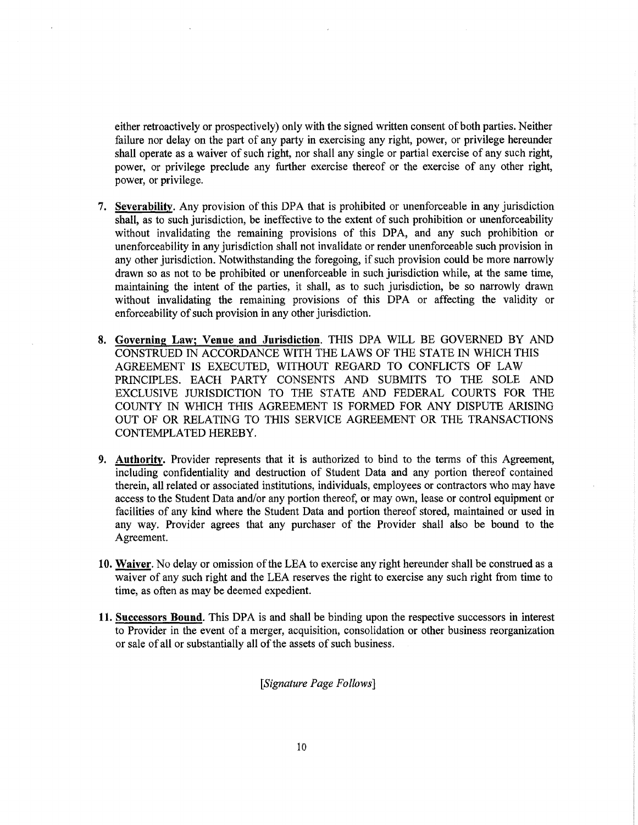either retroactively or prospectively) only with the signed written consent of both parties. Neither failure nor delay on the part of any party in exercising any right, power, or privilege hereunder shall operate as a waiver of such right, nor shall any single or partial exercise of any such right, power, or privilege preclude any further exercise thereof or the exercise of any other right, power, or privilege.

- 7. Severability. Any provision of this DPA that is prohibited or unenforceable in any jurisdiction shall, as to such jurisdiction, be ineffective to the extent of such prohibition or unenforceability without invalidating the remaining provisions of this DPA, and any such prohibition or unenforceability in any jurisdiction shall not invalidate or render unenforceable such provision in any other jurisdiction. Notwithstanding the foregoing, if such provision could be more narrowly drawn so as not to be prohibited or unenforceable in such jurisdiction while, at the same time, maintaining the intent of the parties, it shall, as to such jurisdiction, be so narrowly drawn without invalidating the remaining provisions of this DPA or affecting the validity or enforceability of such provision in any other jurisdiction.
- 8. Governing Law; Venue and Jurisdiction. THIS DPA WILL BE GOVERNED BY AND CONSTRUED IN ACCORDANCE WITH THE LAWS OF THE STATE IN WHICH THIS AGREEMENT IS EXECUTED, WITHOUT REGARD TO CONFLICTS OF LAW PRINCIPLES. EACH PARTY CONSENTS AND SUBMITS TO THE SOLE AND EXCLUSIVE JURISDICTION TO THE STATE AND FEDERAL COURTS FOR THE COUNTY IN WHICH THIS AGREEMENT IS FORMED FOR ANY DISPUTE ARISING OUT OF OR RELATING TO THIS SERVICE AGREEMENT OR THE TRANSACTIONS CONTEMPLATED HEREBY.
- 9. Authority. Provider represents that it is authorized to bind to the terms of this Agreement, including confidentiality and destruction of Student Data and any portion thereof contained therein, all related or associated institutions, individuals, employees or contractors who may have access to the Student Data and/or any portion thereof, or may own, lease or control equipment or facilities of any kind where the Student Data and portion thereof stored, maintained or used in any way. Provider agrees that any purchaser of the Provider shall also be bound to the Agreement.
- 10. Waiver. No delay or omission of the LEA to exercise any right hereunder shall be construed as a waiver of any such right and the LEA reserves the right to exercise any such right from time to time, as often as may be deemed expedient.
- 11.Successors Bound. This DPA is and shall be binding upon the respective successors in interest to Provider in the event of a merger, acquisition, consolidation or other business reorganization or sale of all or substantially all of the assets of such business.

*Signature Page Follows]*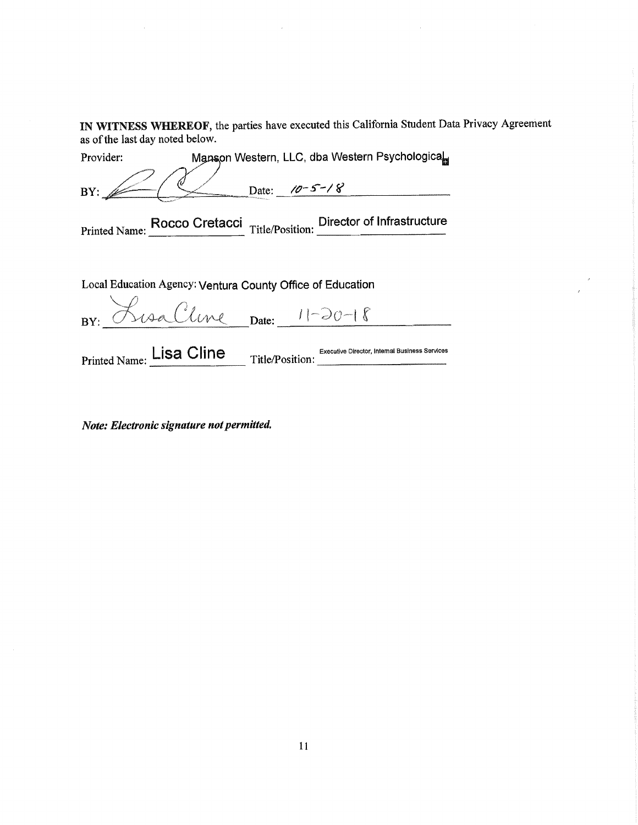IN WITNESS WHEREOF, the parties have executed this California Student Data Privacy Agreement as of the last day noted below.

| Provider:     |       |               | Manson Western, LLC, dba Western Psychological            |
|---------------|-------|---------------|-----------------------------------------------------------|
| BY:           | Date: | $10 - 5 - 18$ |                                                           |
| Printed Name: |       |               | Rocco Cretacci Title/Position: Director of Infrastructure |
|               |       |               |                                                           |

Local Education Agency: Ventura County Office of Education

BY: Rusa Cline Date: 11-20-18 

Printed Name: Lisa Cline **Title/Position:** Executive Director, Internal Business Services

*Note: Electronic signature not permitted*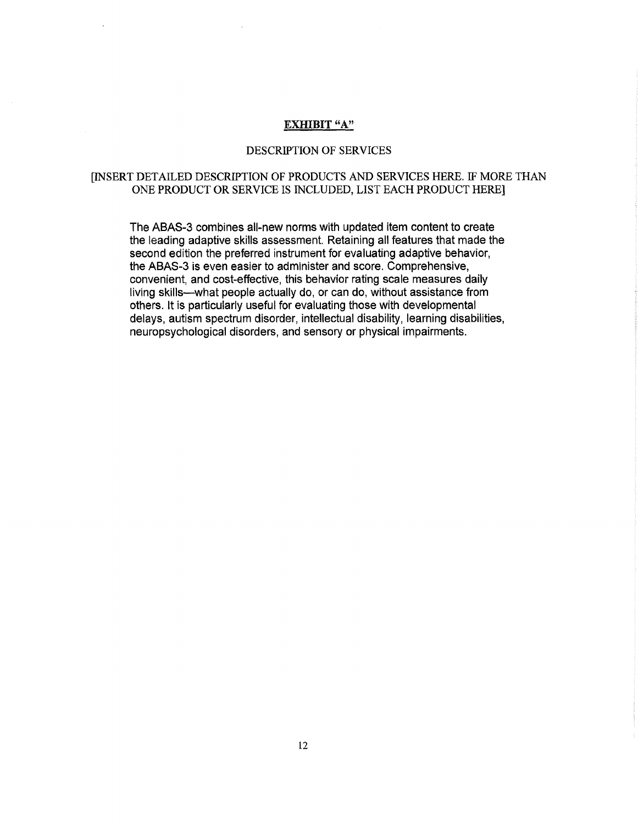#### EXHIBIT "A"

#### DESCRIPTION OF SERVICES

#### [INSERT DETAILED DESCRIPTION OF PRODUCTS AND SERVICES HERE. IF MORE THAN ONE PRODUCT OR SERVICE IS INCLUDED, LIST EACH PRODUCT HERE]

The ABAS-3 combines all-new norms with updated item content to create the leading adaptive skills assessment. Retaining all features that made the second edition the preferred instrument for evaluating adaptive behavior, the ABAS-3 is even easier to administer and score. Comprehensive, convenient, and cost-effective, this behavior rating scale measures daily living skills—what people actually do, or can do, without assistance from others. It is particularly useful for evaluating those with developmental delays, autism spectrum disorder, intellectual disability, learning disabilities, neuropsychological disorders, and sensory or physical impairments.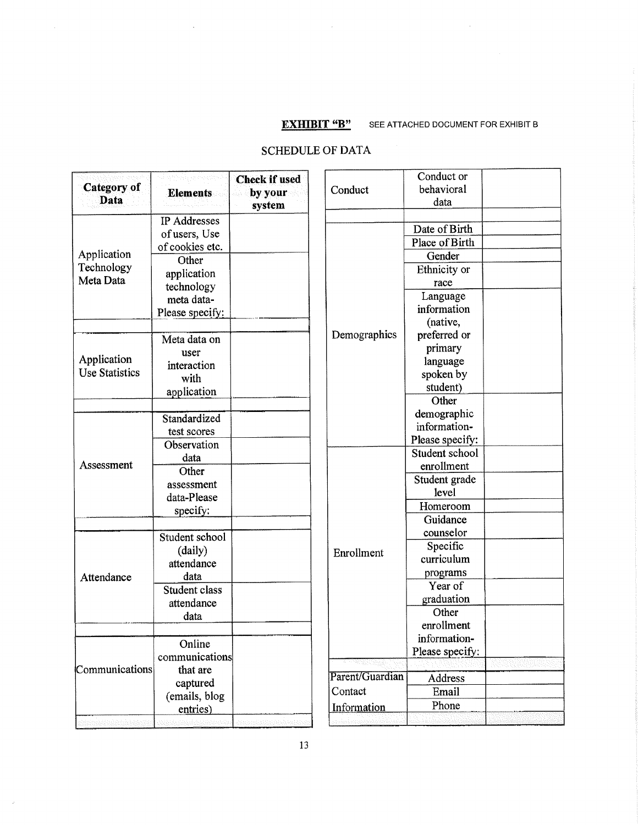$\bar{\lambda}$ 

 $\bar{z}$ 

i.

# **EXHIBIT "B"** SEE ATTACHED DOCUMENT FOR EXHIBIT B

# SCHEDULE OF DATA

| Category of<br>Data                  | ahayyaa gobooyiya<br><b>Elements</b> | <b>Check if used</b><br>by your<br>system | Conduct         | Conduct or<br>behavioral<br>data    |  |
|--------------------------------------|--------------------------------------|-------------------------------------------|-----------------|-------------------------------------|--|
|                                      | IP Addresses                         |                                           |                 | Date of Birth                       |  |
|                                      | of users, Use                        |                                           |                 | Place of Birth                      |  |
| Application                          | of cookies etc.<br>Other             |                                           |                 | Gender                              |  |
| Technology<br>Meta Data              | application<br>technology            |                                           |                 | Ethnicity or<br>race                |  |
|                                      | meta data-<br>Please specify:        |                                           |                 | Language<br>information<br>(native, |  |
|                                      | Meta data on<br>user                 |                                           | Demographics    | preferred or<br>primary             |  |
| Application<br><b>Use Statistics</b> | interaction<br>with                  |                                           |                 | language<br>spoken by<br>student)   |  |
|                                      | application                          |                                           |                 | Other                               |  |
|                                      | Standardized<br>test scores          |                                           |                 | demographic<br>information-         |  |
|                                      | Observation                          |                                           |                 | Please specify:<br>Student school   |  |
| Assessment                           | data                                 |                                           |                 | enrollment                          |  |
|                                      | Other<br>assessment                  |                                           |                 | Student grade                       |  |
|                                      | data-Please                          |                                           |                 | level                               |  |
|                                      | specify:                             |                                           |                 | Homeroom                            |  |
|                                      | Student school                       |                                           | Enrollment      | Guidance<br>counselor               |  |
|                                      | (daily)<br>attendance                |                                           |                 | Specific<br>curriculum              |  |
| Attendance                           | data<br>Student class<br>attendance  |                                           |                 | programs<br>Year of<br>graduation   |  |
|                                      | data                                 |                                           |                 | Other<br>enrollment                 |  |
|                                      | Online<br>communications             |                                           |                 | information-<br>Please specify:     |  |
| Communications                       | that are                             |                                           | Parent/Guardian |                                     |  |
|                                      | captured                             |                                           |                 | Address                             |  |
|                                      | (emails, blog                        |                                           | Contact         | Email                               |  |
|                                      | entries)                             |                                           | Information     | Phone                               |  |
| di Colonial den                      | Construction of the construction     | amandinkartantentek                       |                 |                                     |  |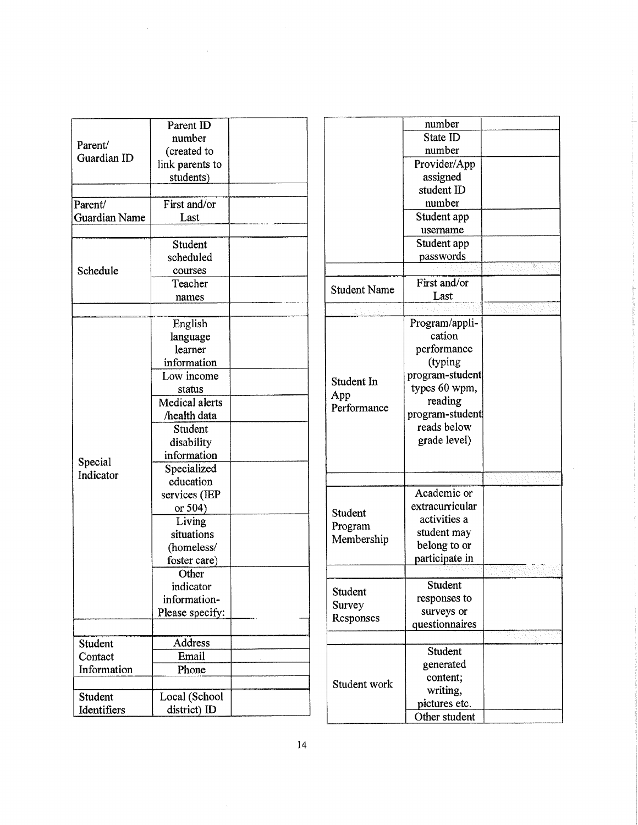|                      | Parent ID       |  |
|----------------------|-----------------|--|
| Parent/              | number          |  |
| Guardian ID          | (created to     |  |
|                      | link parents to |  |
|                      | students)       |  |
|                      |                 |  |
| Parent/              | First and/or    |  |
| <b>Guardian Name</b> | Last            |  |
|                      |                 |  |
|                      | Student         |  |
|                      | scheduled       |  |
| Schedule             | courses         |  |
|                      | Teacher         |  |
|                      | names           |  |
|                      |                 |  |
|                      | English         |  |
|                      | language        |  |
|                      | learner         |  |
|                      | information     |  |
|                      | Low income      |  |
|                      | status          |  |
|                      | Medical alerts  |  |
|                      | /health data    |  |
|                      | Student         |  |
|                      | disability      |  |
|                      | information     |  |
| Special              | Specialized     |  |
| Indicator            | education       |  |
|                      | services (IEP   |  |
|                      | or 504)         |  |
|                      | Living          |  |
|                      | situations      |  |
|                      | (homeless/      |  |
|                      | foster care)    |  |
|                      | Other           |  |
|                      | indicator       |  |
|                      | information-    |  |
|                      | Please specify: |  |
|                      |                 |  |
| Student              | Address         |  |
| Contact              | Email           |  |
| Information          | Phone           |  |
|                      |                 |  |
| Student              | Local (School   |  |
| Identifiers          | district) ID    |  |
|                      |                 |  |

|                     | number          |                        |
|---------------------|-----------------|------------------------|
|                     | State ID        |                        |
|                     | number          |                        |
|                     | Provider/App    |                        |
|                     | assigned        |                        |
|                     | student ID      |                        |
|                     | number          |                        |
|                     | Student app     |                        |
|                     | username        |                        |
|                     | Student app     |                        |
|                     | passwords       |                        |
|                     |                 |                        |
| <b>Student Name</b> | First and/or    |                        |
|                     | Last            |                        |
|                     |                 |                        |
|                     | Program/appli-  |                        |
|                     | cation          |                        |
|                     | performance     |                        |
|                     | (typing         |                        |
| Student In          | program-student |                        |
|                     | types 60 wpm,   |                        |
| App<br>Performance  | reading         |                        |
|                     | program-student |                        |
|                     | reads below     |                        |
|                     | grade level)    |                        |
|                     |                 |                        |
|                     |                 |                        |
|                     |                 |                        |
|                     | Academic or     |                        |
| Student             | extracurricular |                        |
| Program             | activities a    |                        |
| Membership          | student may     |                        |
|                     | belong to or    |                        |
|                     | participate in  |                        |
|                     |                 |                        |
| Student             | Student         |                        |
| Survey              | responses to    |                        |
| Responses           | surveys or      |                        |
|                     | questionnaires  |                        |
|                     |                 | क्यकारू <sub>हुई</sub> |
|                     | Student         |                        |
|                     | generated       |                        |
| Student work        | content;        |                        |
|                     | writing,        |                        |
|                     | pictures etc.   |                        |
|                     | Other student   |                        |
|                     |                 |                        |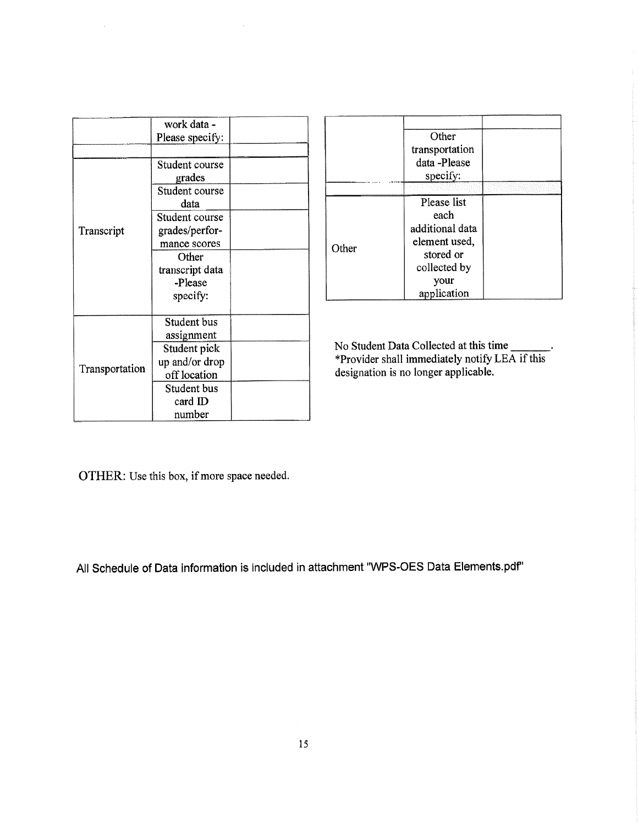|                | work data -     |  |
|----------------|-----------------|--|
|                | Please specify: |  |
|                |                 |  |
|                | Student course  |  |
|                | grades          |  |
|                | Student course  |  |
|                | data            |  |
|                | Student course  |  |
| Transcript     | grades/perfor-  |  |
|                | mance scores    |  |
|                | Other           |  |
|                | transcript data |  |
|                | -Please         |  |
|                | specify:        |  |
|                |                 |  |
|                | Student bus     |  |
|                | assignment      |  |
|                | Student pick    |  |
|                | up and/or drop  |  |
| Transportation | off location    |  |
|                | Student bus     |  |
|                | card $ID$       |  |
|                | number          |  |

|       | Other<br>transportation<br>data-Please<br>specify:                                   |  |
|-------|--------------------------------------------------------------------------------------|--|
|       |                                                                                      |  |
| Other | Please list<br>each<br>additional data<br>element used,<br>stored or<br>collected by |  |
|       | your<br>application                                                                  |  |

No Student Data Collected at this time \*provider shall immediately notify LEA if this designation is no longer applicable.

OTHER: Use this box, if more space needed.

All Schedule of Data information is included in attachment "WPS-OES Data Elements.pdf"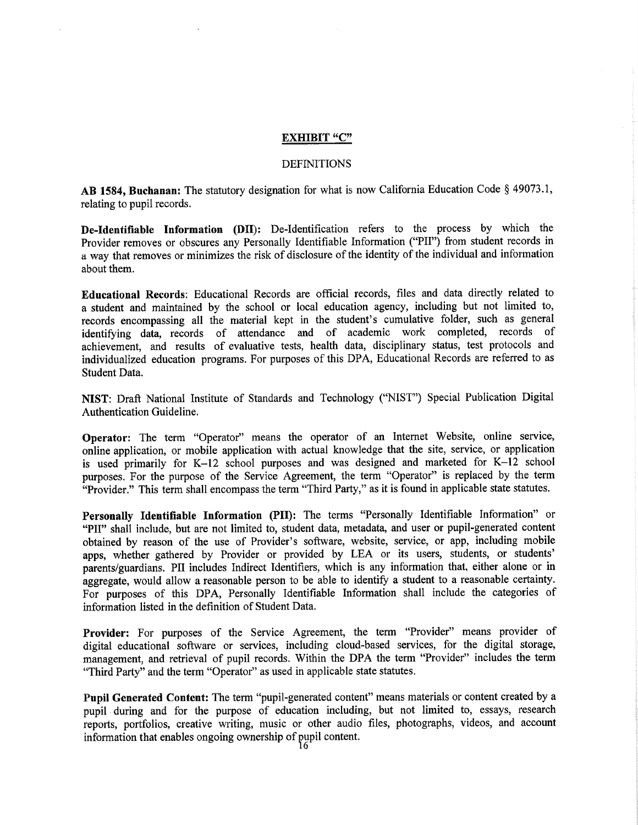#### EXHIBIT "C"

#### DEFINITIONS

**AB 1584, Buchanan:** The statutory designation for what is now California Education Code § 49073.1, relating to pupil records.

**De-Identifiable Information** (DII): De-Identification refers to the process by which the Provider removes or obscures any Personally Identifiable Information ("P11") from student records in a way that removes or minimizes the risk of disclosure of the identity of the individual and information about them.

**Educational Records:** Educational Records are official records, files and data directly related to a student and maintained by the school or local education agency, including but not limited to, records encompassing all the material kept in the student's cumulative folder, such as general identifying data, records of attendance and of academic work completed, records of achievement, and results of evaluative tests, health data, disciplinary status, test protocols and individualized education programs. For purposes of this DPA, Educational Records are referred to as Student Data.

**NIST: Draft National** Institute of Standards and Technology ("NIST") Special Publication Digital Authentication Guideline.

**Operator: The term "Operator" means** the operator of an Internet Website, online service, online application, or mobile application with actual knowledge that the site, service, or application is used primarily for K-12 school purposes and was designed and marketed for K-12 school purposes. For the purpose of the Service Agreement, the term "Operator" is replaced by the term "Provider." This term shall encompass the term "Third Party," as it is found in applicable state statutes.

**Personally Identifiable Information (P11):** The terms "Personally Identifiable Information" or **"P11" shall include, but are** not limited to, student data, metadata, and user or pupil-generated content obtained by reason of the use of Provider's software, website, service, or app, including mobile apps, whether gathered by Provider or provided by LEA or its users, students, or students' parents/guardians. P11 includes Indirect Identifiers, which is any information that, either alone or in aggregate, would allow a reasonable person to be able to identify a student to a reasonable certainty. For purposes of this DPA, Personally Identifiable Information shall include the categories of information listed in the definition of Student Data,

**Provider:** For purposes of the Service Agreement, the term "Provider" means provider of digital educational software or services, including cloud-based services, for the digital storage, management, and retrieval of pupil records. Within the DPA the term "Provider" includes the term "Third Party" and the term "Operator" as used in applicable state statutes.

**Pupil Generated Content:** The term "pupil-generated content" means materials or content created by a pupil during and for the purpose of education including, but not limited to, essays, research reports, portfolios, creative writing, music or other audio files, photographs, videos, and account information that enables ongoing ownership of pupil content.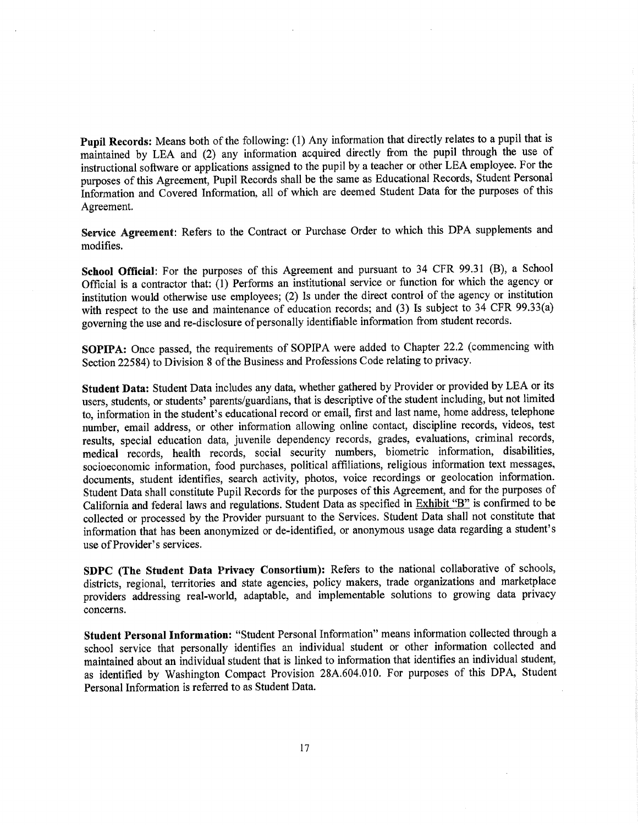**Pupil Records:** Means both of the following: (1) Any information that directly relates to a pupil that is **maintained** by LEA and **(2)** any information acquired directly from the pupil through the use of instructional software or applications assigned to the pupil by a teacher or other LEA employee. For the purposes of this Agreement, Pupil Records shall be the same as Educational Records, Student Personal Information and Covered Information, all of which are deemed Student Data for the purposes of this Agreement.

Service Agreement: Refers to the Contract or Purchase Order to which this DPA supplements and modifies.

School Official: For the purposes of this Agreement and pursuant to 34 CFR 99.31 (B), a School Official is a contractor that: (1) Performs an institutional service or function for which the agency or institution would otherwise use employees; (2) is under the direct control of the agency or institution with respect to the use and maintenance of education records; and (3) Is subject to 34 CFR 99.33(a) governing the use and re-disclosure of personally identifiable information from student records.

SOPIPA: Once passed, the requirements of SOPIPA were added to Chapter 22.2 (commencing with Section *22584)* to Division 8 of the Business and Professions Code relating to privacy.

**Student Data:** Student Data includes any data, whether gathered by Provider or provided by LEA or its users, students, or students' parents/guardians, that is descriptive of the student including, but not limited to, information in the student's educational record or email, first and last name, home address, telephone number, email address, or other information allowing online contact, discipline records, videos, test results, special education data, juvenile dependency records, grades, evaluations, criminal records, medical records, health records, social security numbers, biometric information, disabilities, socioeconomic information, food purchases, political affiliations, religious information text messages, documents, student identifies, search activity, photos, voice recordings or geolocation information. Student Data shall constitute Pupil Records for the purposes of this Agreement, and for the purposes of California and federal laws and regulations. Student Data as specified in Exhibit "B" is confirmed to be collected or processed by the Provider pursuant to the Services, Student Data shall not constitute that information that has been anonymized or de-identified, or anonymous usage data regarding a student's use of Provider's services.

**SDPC (The Student Data Privacy Consortium):** Refers to the national collaborative of schools, districts, regional, territories and state agencies, policy makers, trade organizations and marketplace providers addressing real-world, adaptable, and implementable solutions to growing data privacy concerns.

**Student Personal Information: "Student Personal** Information" means information collected through a school service that personally identifies an individual student or other information collected and maintained about an individual student that is linked to information that identifies an individual student, as identified by Washington Compact Provision 28A.604.010. For purposes of this DPA, Student Personal Information is referred to as Student Data.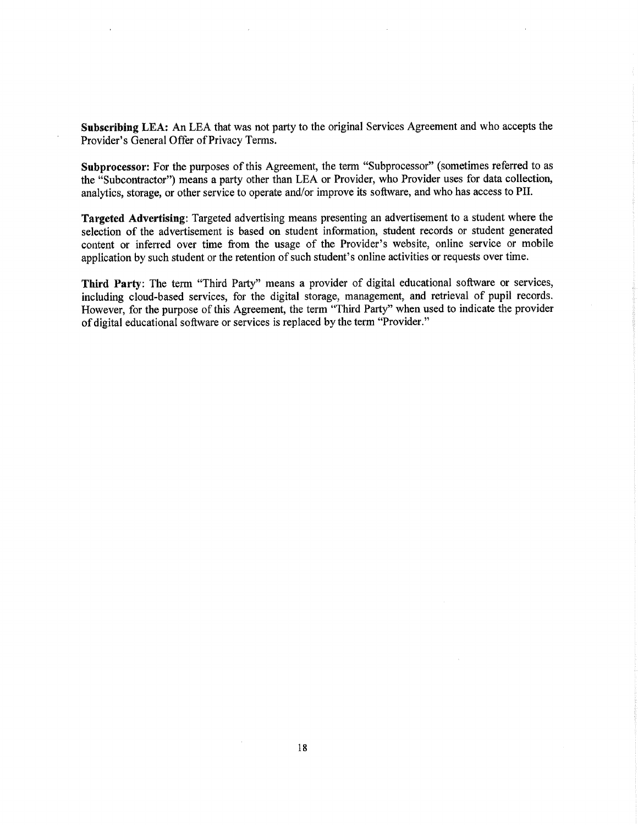Subscribing LEA: An LEA that was not party to the original Services Agreement and who accepts the Provider's General Offer of Privacy Terms.

Subprocessor: For the purposes of this Agreement, the term "Subprocessor" (sometimes referred to as the "Subcontractor") means a party other than LEA or Provider, who Provider uses for data collection, analytics, storage, or other service to operate and/or improve its software, and who has access to PIT.

Targeted Advertising: Targeted advertising means presenting an advertisement to a student where the selection of the advertisement is based on student information, student records or student generated content or inferred over time from the usage of the Provider's website, online service or mobile application by such student or the retention of such student's online activities or requests over time.

Third **Party:** The term "Third Party" means a provider of digital educational software or services, including cloud-based services, for the digital storage, management, and retrieval of pupil records. However, for the purpose of this Agreement, the term "Third Party" when used to indicate the provider of digital educational software or services is replaced by the term "Provider."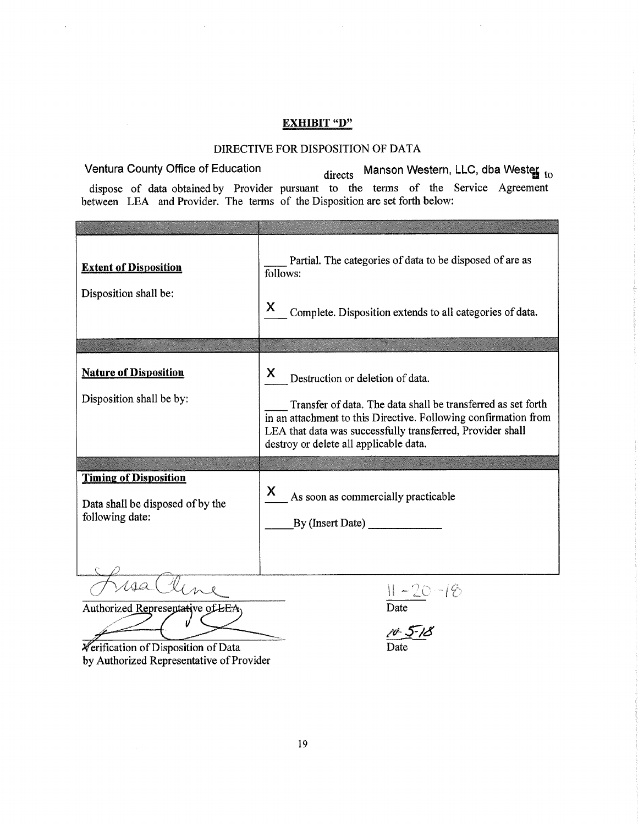## **EXHIBIT** "D"

#### DIRECTIVE FOR DISPOSITION OF DATA

Ventura County Office of Education directs Manson Western, LLC, dba Wester to dispose of data obtained by Provider pursuant to the terms of the Service Agreement between LEA and Provider. The terms of the Disposition are set forth below:

| <b>Extent of Disposition</b><br>Disposition shall be:                               | Partial. The categories of data to be disposed of are as<br>follows:<br>X<br>Complete. Disposition extends to all categories of data.                                                                                                                                            |
|-------------------------------------------------------------------------------------|----------------------------------------------------------------------------------------------------------------------------------------------------------------------------------------------------------------------------------------------------------------------------------|
|                                                                                     |                                                                                                                                                                                                                                                                                  |
| <b>Nature of Disposition</b><br>Disposition shall be by:                            | X<br>Destruction or deletion of data.<br>Transfer of data. The data shall be transferred as set forth<br>in an attachment to this Directive. Following confirmation from<br>LEA that data was successfully transferred, Provider shall<br>destroy or delete all applicable data. |
|                                                                                     |                                                                                                                                                                                                                                                                                  |
| <b>Timing of Disposition</b><br>Data shall be disposed of by the<br>following date: | X<br>As soon as commercially practicable<br>By (Insert Date)                                                                                                                                                                                                                     |
|                                                                                     |                                                                                                                                                                                                                                                                                  |
| Authorized Representative of LEA                                                    | $11 - 20 - 18$<br>Date                                                                                                                                                                                                                                                           |

**\***  $\overline{\mathbf{r}}$   $\overline{\mathbf{r}}$  Date Date Date by Authorized Representative of Provider

10-5-18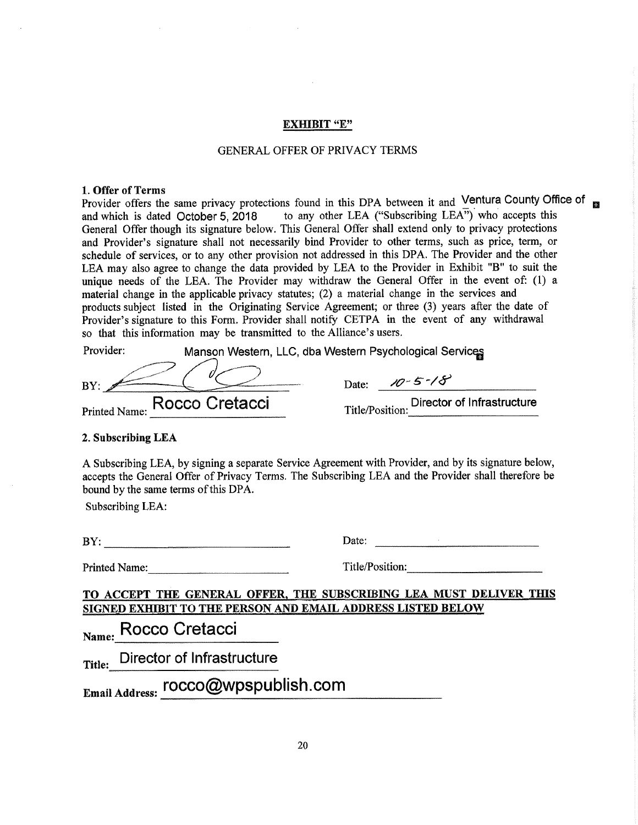#### EXHIBIT "E"

#### GENERAL OFFER OF PRIVACY TERMS

#### 1.Offer of Terms

Provider offers the same privacy protections found in this DPA between it and Ventura County Office of and which is dated October 5, 2018 to any other LEA ("Subscribing  $LEA$ <sup>")</sup> who accepts this General Offer though its signature below. This General Offer shall extend only to privacy protections and Provider's signature shall not necessarily bind Provider to other terms, such as price, term, or schedule of services, or to any other provision not addressed in this DPA. The Provider and the other LEA may also agree to change the data provided by LEA to the Provider in Exhibit "B" to suit the unique needs of the LEA. The Provider may withdraw the General Offer in the event of: (1) a material change in the applicable privacy statutes; (2) a material change in the services and products subject listed in the Originating Service Agreement; or three (3) years after the date of Provider's signature to this Form. Provider shall notify CETPA in the event of any withdrawal so that this information may be transmitted to the Alliance's users.

| Provider: | Manson Western, LLC, dba Western Psychological Services |                 |               |                            |
|-----------|---------------------------------------------------------|-----------------|---------------|----------------------------|
| BY:       |                                                         | Date:           | $10 - 5 - 18$ |                            |
|           | Printed Name: Rocco Cretacci                            | Title/Position: |               | Director of Infrastructure |

#### **2. Subscribing LEA**

A Subscribing LEA, by signing a separate Service Agreement with Provider, and by its signature below, accepts the General Offer of Privacy Terms. The Subscribing LEA and the Provider shall therefore be bound by the same terms of this DPA.

Subscribing LEA:

| BY |                                    | Date: |
|----|------------------------------------|-------|
|    | ------<br>------------------<br>__ |       |

Printed Name: Title/Position: Title/Position:

**TO ACCEPT** THE GENERAL **OFFER, THE** SUBSCRIBING LEA MUST **DELIVER** THIS **SIGNED EXIIIBIT TO** THE PERSON AND EMAIL ADDRESS **LISTED BELOW** 

**Name: Rocco Cretacci** 

**Title: Director** of Infrastructure

Email **Address: rocco@wpspublish.com**